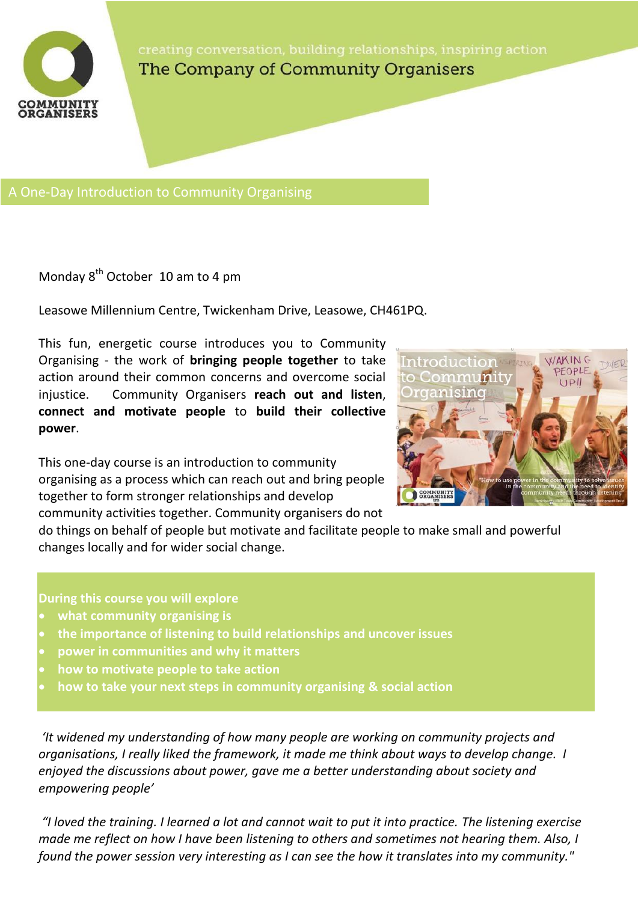

The Company of Community Organisers

A One-Day Introduction to Community Organising

Monday  $8^{th}$  October 10 am to 4 pm

Leasowe Millennium Centre, Twickenham Drive, Leasowe, CH461PQ.

This fun, energetic course introduces you to Community Organising - the work of **bringing people together** to take action around their common concerns and overcome social injustice. Community Organisers **reach out and listen**, **connect and motivate people** to **build their collective power**.

This one-day course is an introduction to community organising as a process which can reach out and bring people together to form stronger relationships and develop community activities together. Community organisers do not



do things on behalf of people but motivate and facilitate people to make small and powerful changes locally and for wider social change.

## **During this course you will explore**

- **what community organising is**
- **the importance of listening to build relationships and uncover issues**
- **power in communities and why it matters**
- **how to motivate people to take action**
- **how to take your next steps in community organising & social action**

*'It widened my understanding of how many people are working on community projects and organisations, I really liked the framework, it made me think about ways to develop change. I enjoyed the discussions about power, gave me a better understanding about society and empowering people'*

*"I loved the training. I learned a lot and cannot wait to put it into practice. The listening exercise made me reflect on how I have been listening to others and sometimes not hearing them. Also, I found the power session very interesting as I can see the how it translates into my community."*